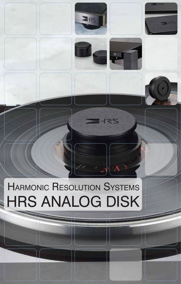

## **HARMONIC RESOLUTION SYSTEMS HRS ANALOG DISK**